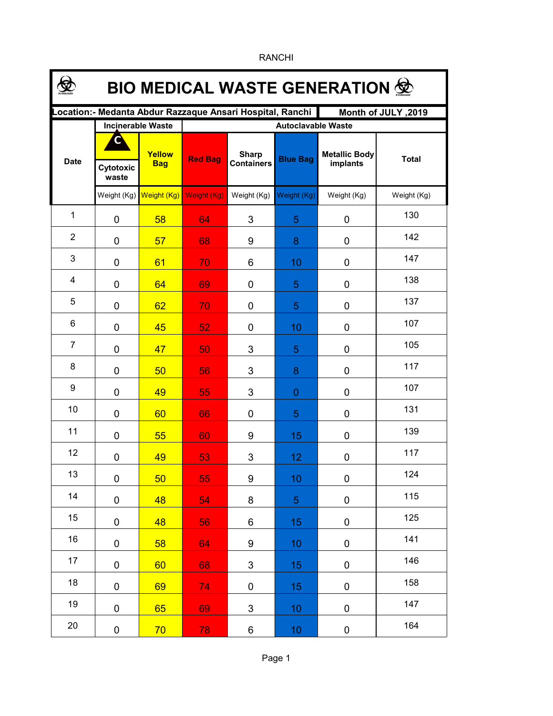| <b>BIO MEDICAL WASTE GENERATION 金</b>                                            |                          |                      |                           |                                   |                 |                                  |              |  |  |  |  |
|----------------------------------------------------------------------------------|--------------------------|----------------------|---------------------------|-----------------------------------|-----------------|----------------------------------|--------------|--|--|--|--|
| ocation:- Medanta Abdur Razzaque Ansari Hospital, Ranchi.<br>Month of JULY, 2019 |                          |                      |                           |                                   |                 |                                  |              |  |  |  |  |
|                                                                                  | <b>Incinerable Waste</b> |                      | <b>Autoclavable Waste</b> |                                   |                 |                                  |              |  |  |  |  |
| <b>Date</b>                                                                      | Cytotoxic<br>waste       | Yellow<br><b>Bag</b> | <b>Red Bag</b>            | <b>Sharp</b><br><b>Containers</b> | <b>Blue Bag</b> | <b>Metallic Body</b><br>implants | <b>Total</b> |  |  |  |  |
|                                                                                  | Weight (Kg)              | Weight (Kg)          | <b>Weight (Kg)</b>        | Weight (Kg)                       | Weight (Kg)     | Weight (Kg)                      | Weight (Kg)  |  |  |  |  |
| $\mathbf{1}$                                                                     | $\mathbf 0$              | 58                   | 64                        | 3                                 | 5               | 0                                | 130          |  |  |  |  |
| $\overline{2}$                                                                   | $\mathbf 0$              | 57                   | 68                        | 9                                 | 8               | 0                                | 142          |  |  |  |  |
| 3                                                                                | $\mathbf 0$              | 61                   | 70                        | 6                                 | 10              | 0                                | 147          |  |  |  |  |
| 4                                                                                | $\mathbf 0$              | 64                   | 69                        | 0                                 | 5               | 0                                | 138          |  |  |  |  |
| 5                                                                                | $\mathbf 0$              | 62                   | 70                        | 0                                 | 5               | 0                                | 137          |  |  |  |  |
| 6                                                                                | $\mathbf 0$              | 45                   | 52                        | 0                                 | 10              | 0                                | 107          |  |  |  |  |
| $\overline{7}$                                                                   | 0                        | 47                   | 50                        | 3                                 | 5               | 0                                | 105          |  |  |  |  |
| 8                                                                                | 0                        | 50                   | 56                        | 3                                 | 8               | 0                                | 117          |  |  |  |  |
| 9                                                                                | 0                        | 49                   | 55                        | 3                                 | $\overline{0}$  | 0                                | 107          |  |  |  |  |
| 10                                                                               | 0                        | 60                   | 66                        | 0                                 | 5               | 0                                | 131          |  |  |  |  |
| 11                                                                               | 0                        | 55                   | 60                        | 9                                 | 15              | 0                                | 139          |  |  |  |  |
| 12                                                                               | 0                        | 49                   | 53                        | 3                                 | 12              | $\pmb{0}$                        | 117          |  |  |  |  |
| 13                                                                               | $\pmb{0}$                | 50                   | 55                        | 9                                 | 10              | 0                                | 124          |  |  |  |  |
| 14                                                                               | $\pmb{0}$                | 48                   | 54                        | 8                                 | $\overline{5}$  | $\pmb{0}$                        | 115          |  |  |  |  |
| 15                                                                               | 0                        | 48                   | 56                        | 6                                 | 15              | $\pmb{0}$                        | 125          |  |  |  |  |
| 16                                                                               | 0                        | 58                   | 64                        | 9                                 | 10              | 0                                | 141          |  |  |  |  |
| 17                                                                               | 0                        | 60                   | 68                        | 3                                 | 15              | $\pmb{0}$                        | 146          |  |  |  |  |
| 18                                                                               | 0                        | 69                   | 74                        | 0                                 | 15              | $\pmb{0}$                        | 158          |  |  |  |  |
| 19                                                                               | 0                        | 65                   | 69                        | 3                                 | 10              | 0                                | 147          |  |  |  |  |
| 20                                                                               | 0                        | 70                   | 78                        | 6                                 | 10              | 0                                | 164          |  |  |  |  |

RANCHI